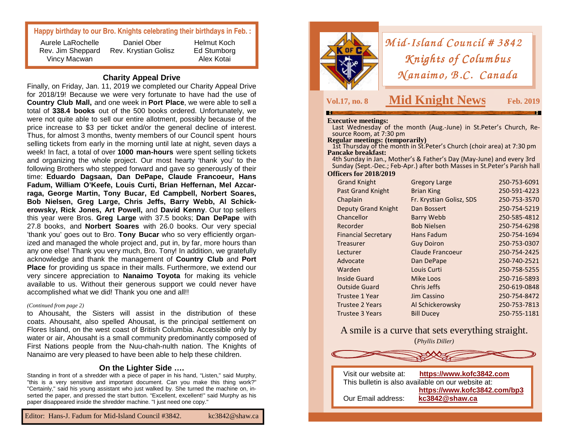#### **Happy birthday to our Bro. Knights celebrating their birthdays in Feb. :**

Aurele LaRochelle Vincy Macwan

 Rev. Jim Sheppard Rev. Krystian Golisz Daniel Ober

Helmut Koch Ed Stumborg Alex Kotai

**Charity Appeal Drive** 

 Finally, on Friday, Jan. 11, 2019 we completed our Charity Appeal Drive for 2018/19! Because we were very fortunate to have had the use of **Country Club Mall,** and one week in **Port Place**, we were able to sell a total of **338.4 books** out of the 500 books ordered. Unfortunately, we were not quite able to sell our entire allotment, possibly because of the price increase to \$3 per ticket and/or the general decline of interest. Thus, for almost 3 months, twenty members of our Council spent hours selling tickets from early in the morning until late at night, seven days a week! In fact, a total of over **1000 man-hours** were spent selling tickets and organizing the whole project. Our most hearty 'thank you' to the following Brothers who stepped forward and gave so generously of their time: **Eduardo Dagsaan, Dan DePape, Claude Francoeur, Hans Fadum, William O'Keefe, Louis Curti, Brian Heffernan, Mel Azcarraga, George Martin, Tony Bucar, Ed Campbell, Norbert Soares, Bob Nielsen, Greg Large, Chris Jeffs, Barry Webb, Al Schickerowsky, Rick Jones, Art Powell,** and **David Kenny**. Our top sellers this year were Bros. **Greg Large** with 37.5 books; **Dan DePape** with 27.8 books, and **Norbert Soares** with 26.0 books. Our very special 'thank you' goes out to Bro. **Tony Bucar** who so very efficiently organized and managed the whole project and, put in, by far, more hours than any one else! Thank you very much, Bro. Tony! In addition, we gratefully acknowledge and thank the management of **Country Club** and **Port Place** for providing us space in their malls. Furthermore, we extend our very sincere appreciation to **Nanaimo Toyota** for making its vehicle available to us. Without their generous support we could never have accomplished what we did! Thank you one and all!!

#### *(Continued from page 2)*

to Ahousaht, the Sisters will assist in the distribution of these coats. Ahousaht, also spelled Ahousat, is the principal settlement on Flores Island, on the west coast of British Columbia. Accessible only by water or air, Ahousaht is a small community predominantly composed of First Nations people from the Nuu-chah-nulth nation. The Knights of Nanaimo are very pleased to have been able to help these children.

#### **On the Lighter Side ….**

 Standing in front of a shredder with a piece of paper in his hand, "Listen," said Murphy, "this is a very sensitive and important document. Can you make this thing work?" "Certainly," said his young assistant who just walked by. She turned the machine on, inserted the paper, and pressed the start button. "Excellent, excellent!" said Murphy as his paper disappeared inside the shredder machine. "I just need one copy."



*Mid-Island Council # 3842*<br>*Knights of Columbus Knights of Columbus<br>(anaimo, B.C. Canadı*  $Manaimo, B.C. Canada$ 

## **Vol.17, no. 8 Mid Knight News**

**Dec./Jan. Feb. 2019** 

**Executive meetings:** Last Wednesday of the month (Aug.-June) in St.Peter's Church, Resource Room, at 7:30 pm

**Regular meetings: (temporarily)** 

**1st Thursday of the month in St. Peter's Church (choir area) at 7:30 pm Pancake breakfast:** 

 4th Sunday in Jan., Mother's & Father's Day (May-June) and every 3rd Sunday (Sept.-Dec.; Feb-Apr.) after both Masses in St.Peter's Parish hall **Officers for 2018/2019** 

| <b>Grand Knight</b>        | <b>Gregory Large</b>     | 250-753-6091 |
|----------------------------|--------------------------|--------------|
| <b>Past Grand Knight</b>   | <b>Brian King</b>        | 250-591-4223 |
| Chaplain                   | Fr. Krystian Golisz, SDS | 250-753-3570 |
| <b>Deputy Grand Knight</b> | Dan Bossert              | 250-754-5219 |
| Chancellor                 | <b>Barry Webb</b>        | 250-585-4812 |
| Recorder                   | <b>Bob Nielsen</b>       | 250-754-6298 |
| <b>Financial Secretary</b> | Hans Fadum               | 250-754-1694 |
| Treasurer                  | <b>Guy Doiron</b>        | 250-753-0307 |
| Lecturer                   | Claude Francoeur         | 250-754-2425 |
| Advocate                   | Dan DePape               | 250-740-2521 |
| Warden                     | Louis Curti              | 250-758-5255 |
| <b>Inside Guard</b>        | Mike Loos                | 250-716-5893 |
| <b>Outside Guard</b>       | Chris Jeffs              | 250-619-0848 |
| Trustee 1 Year             | Jim Cassino              | 250-754-8472 |
| <b>Trustee 2 Years</b>     | Al Schickerowsky         | 250-753-7813 |
| <b>Trustee 3 Years</b>     | <b>Bill Ducey</b>        | 250-755-1181 |
|                            |                          |              |

A smile is a curve that sets everything straight.(*Phyllis Diller)*